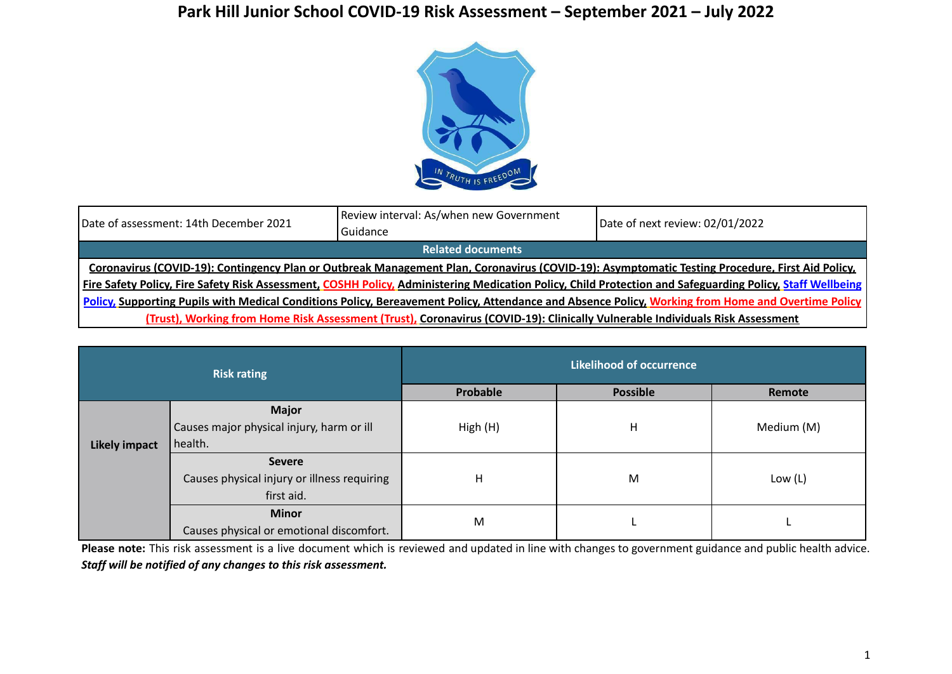## **Park Hill Junior School COVID-19 Risk Assessment – September 2021 – July 2022**



| Date of assessment: 14th December 2021                                                                                                                    | Review interval: As/when new Government<br>Guidance | Date of next review: 02/01/2022                                                                                                                                  |  |  |  |
|-----------------------------------------------------------------------------------------------------------------------------------------------------------|-----------------------------------------------------|------------------------------------------------------------------------------------------------------------------------------------------------------------------|--|--|--|
|                                                                                                                                                           | <b>Related documents</b>                            |                                                                                                                                                                  |  |  |  |
| Coronavirus (COVID-19): Contingency Plan or Outbreak Management Plan, Coronavirus (COVID-19): Asymptomatic Testing Procedure, First Aid Policy,           |                                                     |                                                                                                                                                                  |  |  |  |
|                                                                                                                                                           |                                                     | <b>Fire Safety Policy, Fire Safety Risk Assessment, COSHH Policy, Administering Medication Policy, Child Protection and Safeguarding Policy, Staff Wellbeing</b> |  |  |  |
| <b>Policy, Supporting Pupils with Medical Conditions Policy, Bereavement Policy, Attendance and Absence Policy, Working from Home and Overtime Policy</b> |                                                     |                                                                                                                                                                  |  |  |  |
| (Trust), Working from Home Risk Assessment (Trust), Coronavirus (COVID-19): Clinically Vulnerable Individuals Risk Assessment                             |                                                     |                                                                                                                                                                  |  |  |  |

| <b>Risk rating</b>   |                                             | <b>Likelihood of occurrence</b> |                 |            |  |
|----------------------|---------------------------------------------|---------------------------------|-----------------|------------|--|
|                      |                                             | Probable                        | <b>Possible</b> | Remote     |  |
|                      | <b>Major</b>                                |                                 |                 |            |  |
|                      | Causes major physical injury, harm or ill   | High (H)                        | н               | Medium (M) |  |
| <b>Likely impact</b> | health.                                     |                                 |                 |            |  |
|                      | <b>Severe</b>                               |                                 |                 |            |  |
|                      | Causes physical injury or illness requiring | H                               | M               | Low (L)    |  |
|                      | first aid.                                  |                                 |                 |            |  |
|                      | <b>Minor</b>                                | M                               |                 |            |  |
|                      | Causes physical or emotional discomfort.    |                                 |                 |            |  |

**Please note:** This risk assessment is a live document which is reviewed and updated in line with changes to government guidance and public health advice. *Staff will be notified of any changes to this risk assessment.*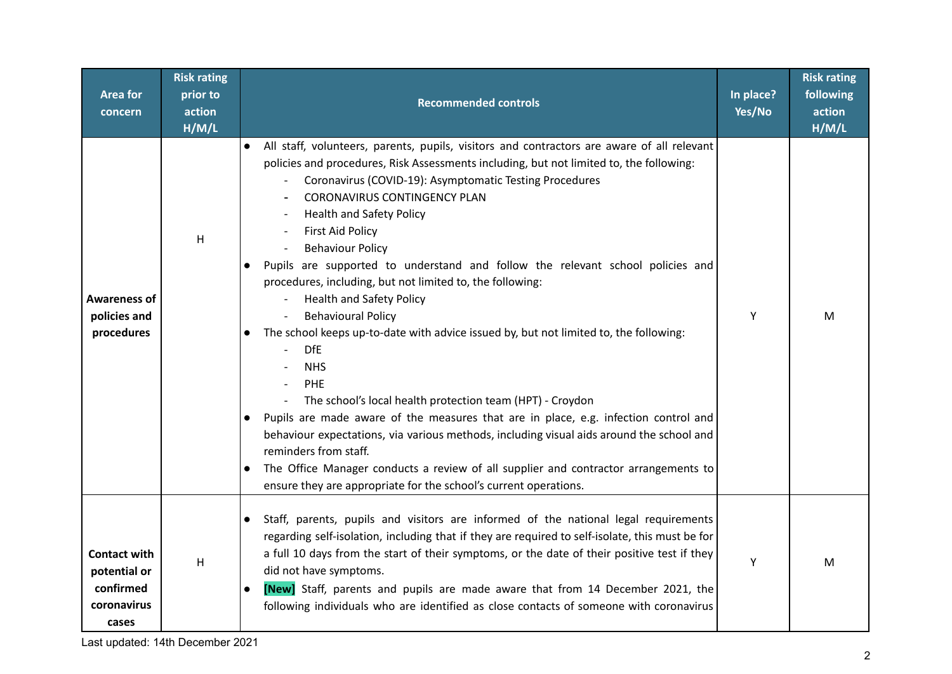| Area for<br>concern                                                      | <b>Risk rating</b><br>prior to<br>action<br>H/M/L | <b>Recommended controls</b>                                                                                                                                                                                                                                                                                                                                                                                                                                                                                                                                                                                                                                                                                                                                                                                                                                                                                                                                                                                                                                                                                                                                                                                                        | In place?<br>Yes/No | <b>Risk rating</b><br>following<br>action<br>H/M/L |
|--------------------------------------------------------------------------|---------------------------------------------------|------------------------------------------------------------------------------------------------------------------------------------------------------------------------------------------------------------------------------------------------------------------------------------------------------------------------------------------------------------------------------------------------------------------------------------------------------------------------------------------------------------------------------------------------------------------------------------------------------------------------------------------------------------------------------------------------------------------------------------------------------------------------------------------------------------------------------------------------------------------------------------------------------------------------------------------------------------------------------------------------------------------------------------------------------------------------------------------------------------------------------------------------------------------------------------------------------------------------------------|---------------------|----------------------------------------------------|
| <b>Awareness of</b><br>policies and<br>procedures                        | H                                                 | All staff, volunteers, parents, pupils, visitors and contractors are aware of all relevant<br>policies and procedures, Risk Assessments including, but not limited to, the following:<br>Coronavirus (COVID-19): Asymptomatic Testing Procedures<br><b>CORONAVIRUS CONTINGENCY PLAN</b><br><b>Health and Safety Policy</b><br><b>First Aid Policy</b><br><b>Behaviour Policy</b><br>Pupils are supported to understand and follow the relevant school policies and<br>$\bullet$<br>procedures, including, but not limited to, the following:<br><b>Health and Safety Policy</b><br><b>Behavioural Policy</b><br>The school keeps up-to-date with advice issued by, but not limited to, the following:<br>$\bullet$<br><b>DfE</b><br><b>NHS</b><br>PHE<br>The school's local health protection team (HPT) - Croydon<br>$\overline{\phantom{a}}$<br>Pupils are made aware of the measures that are in place, e.g. infection control and<br>behaviour expectations, via various methods, including visual aids around the school and<br>reminders from staff.<br>The Office Manager conducts a review of all supplier and contractor arrangements to<br>$\bullet$<br>ensure they are appropriate for the school's current operations. | Y                   | м                                                  |
| <b>Contact with</b><br>potential or<br>confirmed<br>coronavirus<br>cases | H                                                 | Staff, parents, pupils and visitors are informed of the national legal requirements<br>$\bullet$<br>regarding self-isolation, including that if they are required to self-isolate, this must be for<br>a full 10 days from the start of their symptoms, or the date of their positive test if they<br>did not have symptoms.<br>[New] Staff, parents and pupils are made aware that from 14 December 2021, the<br>$\bullet$<br>following individuals who are identified as close contacts of someone with coronavirus                                                                                                                                                                                                                                                                                                                                                                                                                                                                                                                                                                                                                                                                                                              | Y                   | M                                                  |

Last updated: 14th December 2021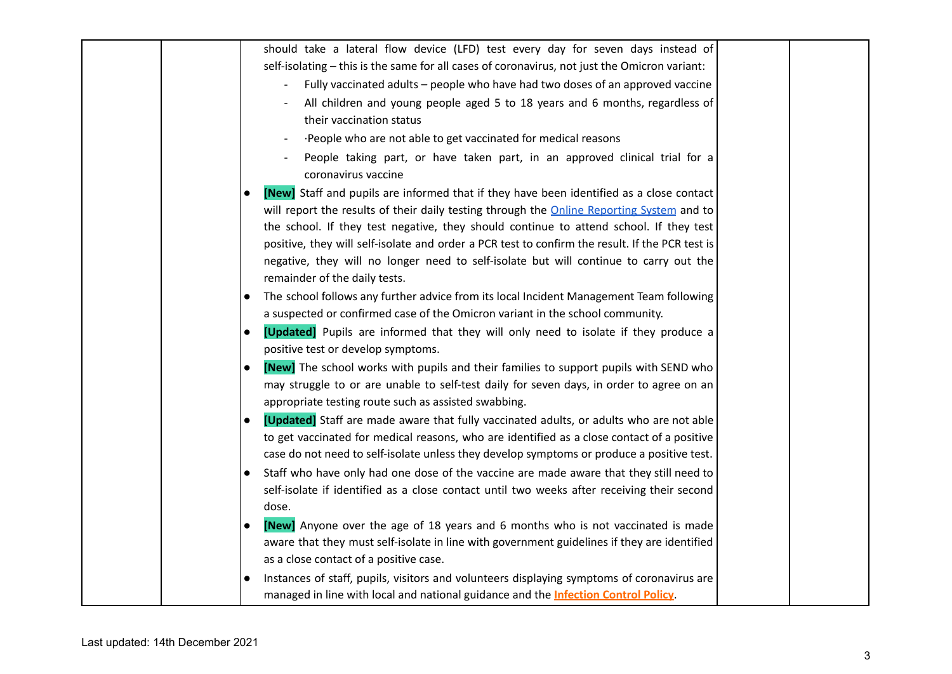|  |           | should take a lateral flow device (LFD) test every day for seven days instead of<br>self-isolating - this is the same for all cases of coronavirus, not just the Omicron variant: |  |
|--|-----------|-----------------------------------------------------------------------------------------------------------------------------------------------------------------------------------|--|
|  |           |                                                                                                                                                                                   |  |
|  |           | Fully vaccinated adults - people who have had two doses of an approved vaccine                                                                                                    |  |
|  |           | All children and young people aged 5 to 18 years and 6 months, regardless of                                                                                                      |  |
|  |           | their vaccination status                                                                                                                                                          |  |
|  |           | People who are not able to get vaccinated for medical reasons                                                                                                                     |  |
|  |           | People taking part, or have taken part, in an approved clinical trial for a<br>coronavirus vaccine                                                                                |  |
|  | $\bullet$ | [New] Staff and pupils are informed that if they have been identified as a close contact                                                                                          |  |
|  |           | will report the results of their daily testing through the <b>Online Reporting System</b> and to                                                                                  |  |
|  |           | the school. If they test negative, they should continue to attend school. If they test                                                                                            |  |
|  |           | positive, they will self-isolate and order a PCR test to confirm the result. If the PCR test is                                                                                   |  |
|  |           | negative, they will no longer need to self-isolate but will continue to carry out the                                                                                             |  |
|  |           | remainder of the daily tests.                                                                                                                                                     |  |
|  |           | The school follows any further advice from its local Incident Management Team following                                                                                           |  |
|  |           | a suspected or confirmed case of the Omicron variant in the school community.                                                                                                     |  |
|  | $\bullet$ | [Updated] Pupils are informed that they will only need to isolate if they produce a                                                                                               |  |
|  |           | positive test or develop symptoms.                                                                                                                                                |  |
|  | $\bullet$ | [New] The school works with pupils and their families to support pupils with SEND who                                                                                             |  |
|  |           | may struggle to or are unable to self-test daily for seven days, in order to agree on an                                                                                          |  |
|  |           | appropriate testing route such as assisted swabbing.                                                                                                                              |  |
|  | $\bullet$ | [Updated] Staff are made aware that fully vaccinated adults, or adults who are not able                                                                                           |  |
|  |           | to get vaccinated for medical reasons, who are identified as a close contact of a positive                                                                                        |  |
|  |           | case do not need to self-isolate unless they develop symptoms or produce a positive test.                                                                                         |  |
|  | $\bullet$ | Staff who have only had one dose of the vaccine are made aware that they still need to                                                                                            |  |
|  |           | self-isolate if identified as a close contact until two weeks after receiving their second                                                                                        |  |
|  |           | dose.                                                                                                                                                                             |  |
|  | $\bullet$ | [New] Anyone over the age of 18 years and 6 months who is not vaccinated is made                                                                                                  |  |
|  |           | aware that they must self-isolate in line with government guidelines if they are identified                                                                                       |  |
|  |           | as a close contact of a positive case.                                                                                                                                            |  |
|  | $\bullet$ | Instances of staff, pupils, visitors and volunteers displaying symptoms of coronavirus are                                                                                        |  |
|  |           | managed in line with local and national guidance and the <b>Infection Control Policy</b> .                                                                                        |  |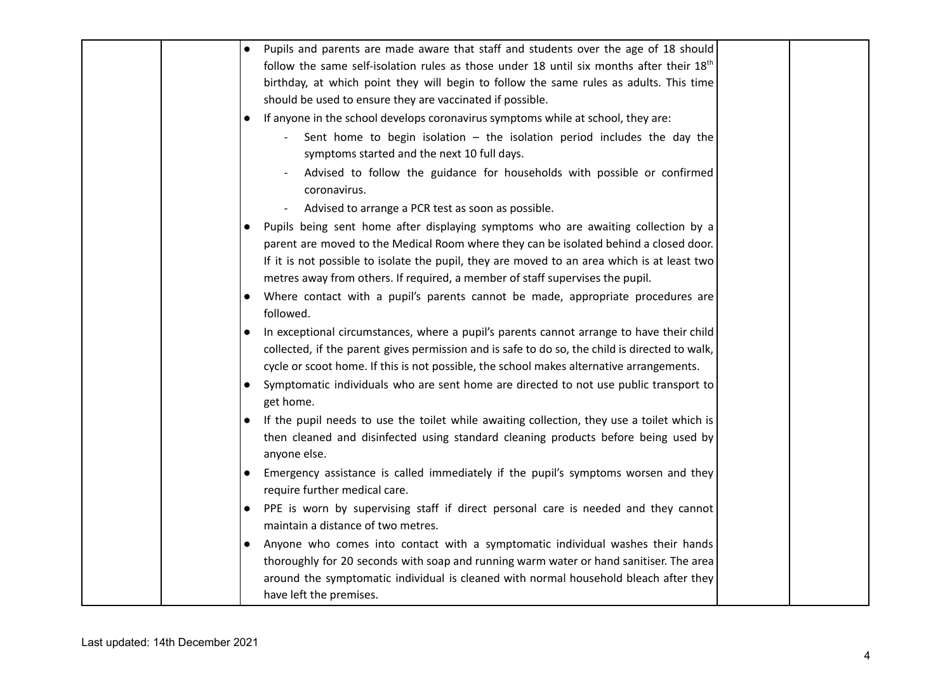|  | Pupils and parents are made aware that staff and students over the age of 18 should<br>$\bullet$        |  |
|--|---------------------------------------------------------------------------------------------------------|--|
|  | follow the same self-isolation rules as those under 18 until six months after their $18th$              |  |
|  | birthday, at which point they will begin to follow the same rules as adults. This time                  |  |
|  | should be used to ensure they are vaccinated if possible.                                               |  |
|  | If anyone in the school develops coronavirus symptoms while at school, they are:<br>$\bullet$           |  |
|  | Sent home to begin isolation $-$ the isolation period includes the day the                              |  |
|  | symptoms started and the next 10 full days.                                                             |  |
|  | Advised to follow the guidance for households with possible or confirmed                                |  |
|  | coronavirus.                                                                                            |  |
|  | Advised to arrange a PCR test as soon as possible.<br>$\overline{\phantom{a}}$                          |  |
|  | Pupils being sent home after displaying symptoms who are awaiting collection by a<br>$\bullet$          |  |
|  | parent are moved to the Medical Room where they can be isolated behind a closed door.                   |  |
|  | If it is not possible to isolate the pupil, they are moved to an area which is at least two             |  |
|  | metres away from others. If required, a member of staff supervises the pupil.                           |  |
|  | Where contact with a pupil's parents cannot be made, appropriate procedures are                         |  |
|  | followed.                                                                                               |  |
|  | In exceptional circumstances, where a pupil's parents cannot arrange to have their child                |  |
|  | collected, if the parent gives permission and is safe to do so, the child is directed to walk,          |  |
|  | cycle or scoot home. If this is not possible, the school makes alternative arrangements.                |  |
|  | Symptomatic individuals who are sent home are directed to not use public transport to<br>$\bullet$      |  |
|  | get home.                                                                                               |  |
|  | If the pupil needs to use the toilet while awaiting collection, they use a toilet which is<br>$\bullet$ |  |
|  | then cleaned and disinfected using standard cleaning products before being used by<br>anyone else.      |  |
|  | Emergency assistance is called immediately if the pupil's symptoms worsen and they<br>$\bullet$         |  |
|  | require further medical care.                                                                           |  |
|  | PPE is worn by supervising staff if direct personal care is needed and they cannot                      |  |
|  | maintain a distance of two metres.                                                                      |  |
|  | Anyone who comes into contact with a symptomatic individual washes their hands<br>$\bullet$             |  |
|  | thoroughly for 20 seconds with soap and running warm water or hand sanitiser. The area                  |  |
|  | around the symptomatic individual is cleaned with normal household bleach after they                    |  |
|  | have left the premises.                                                                                 |  |
|  |                                                                                                         |  |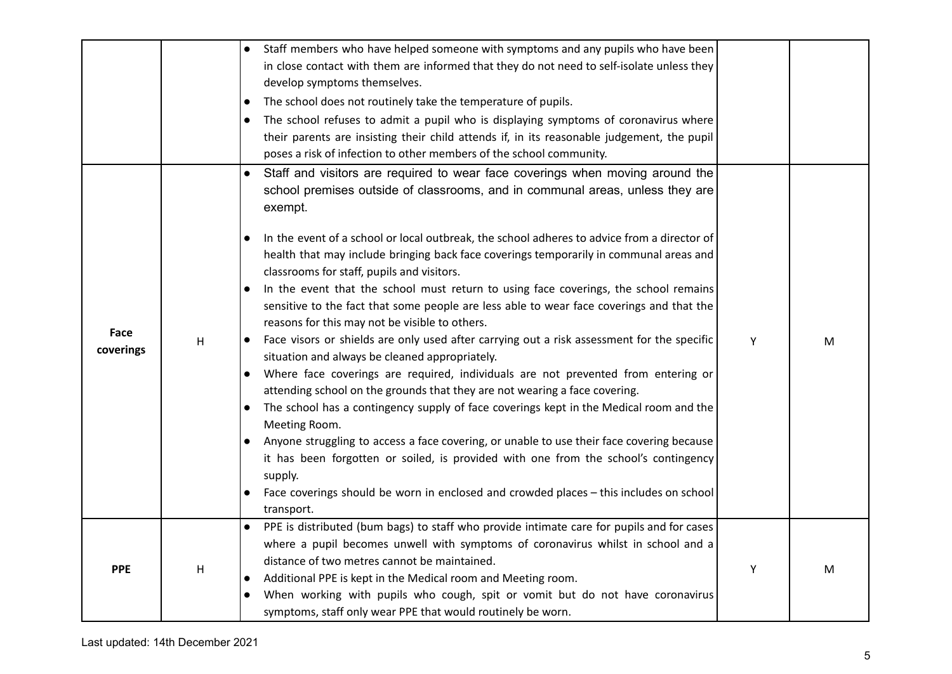|                   |   | Staff members who have helped someone with symptoms and any pupils who have been                                                                                                                                                                                                                                                                                                                                                                                                                                                                                                                                                                                                                                                                                                                                                                                                                                                                                                                                                                                                                                                                                                                                                                                                                                                                                                                                                                                          |   |   |
|-------------------|---|---------------------------------------------------------------------------------------------------------------------------------------------------------------------------------------------------------------------------------------------------------------------------------------------------------------------------------------------------------------------------------------------------------------------------------------------------------------------------------------------------------------------------------------------------------------------------------------------------------------------------------------------------------------------------------------------------------------------------------------------------------------------------------------------------------------------------------------------------------------------------------------------------------------------------------------------------------------------------------------------------------------------------------------------------------------------------------------------------------------------------------------------------------------------------------------------------------------------------------------------------------------------------------------------------------------------------------------------------------------------------------------------------------------------------------------------------------------------------|---|---|
|                   |   | in close contact with them are informed that they do not need to self-isolate unless they                                                                                                                                                                                                                                                                                                                                                                                                                                                                                                                                                                                                                                                                                                                                                                                                                                                                                                                                                                                                                                                                                                                                                                                                                                                                                                                                                                                 |   |   |
|                   |   | develop symptoms themselves.                                                                                                                                                                                                                                                                                                                                                                                                                                                                                                                                                                                                                                                                                                                                                                                                                                                                                                                                                                                                                                                                                                                                                                                                                                                                                                                                                                                                                                              |   |   |
|                   |   | The school does not routinely take the temperature of pupils.<br>$\bullet$                                                                                                                                                                                                                                                                                                                                                                                                                                                                                                                                                                                                                                                                                                                                                                                                                                                                                                                                                                                                                                                                                                                                                                                                                                                                                                                                                                                                |   |   |
|                   |   | The school refuses to admit a pupil who is displaying symptoms of coronavirus where<br>$\bullet$                                                                                                                                                                                                                                                                                                                                                                                                                                                                                                                                                                                                                                                                                                                                                                                                                                                                                                                                                                                                                                                                                                                                                                                                                                                                                                                                                                          |   |   |
|                   |   | their parents are insisting their child attends if, in its reasonable judgement, the pupil                                                                                                                                                                                                                                                                                                                                                                                                                                                                                                                                                                                                                                                                                                                                                                                                                                                                                                                                                                                                                                                                                                                                                                                                                                                                                                                                                                                |   |   |
|                   |   | poses a risk of infection to other members of the school community.                                                                                                                                                                                                                                                                                                                                                                                                                                                                                                                                                                                                                                                                                                                                                                                                                                                                                                                                                                                                                                                                                                                                                                                                                                                                                                                                                                                                       |   |   |
| Face<br>coverings | H | Staff and visitors are required to wear face coverings when moving around the<br>$\bullet$<br>school premises outside of classrooms, and in communal areas, unless they are<br>exempt.<br>In the event of a school or local outbreak, the school adheres to advice from a director of<br>$\bullet$<br>health that may include bringing back face coverings temporarily in communal areas and<br>classrooms for staff, pupils and visitors.<br>In the event that the school must return to using face coverings, the school remains<br>$\bullet$<br>sensitive to the fact that some people are less able to wear face coverings and that the<br>reasons for this may not be visible to others.<br>Face visors or shields are only used after carrying out a risk assessment for the specific<br>situation and always be cleaned appropriately.<br>Where face coverings are required, individuals are not prevented from entering or<br>$\bullet$<br>attending school on the grounds that they are not wearing a face covering.<br>The school has a contingency supply of face coverings kept in the Medical room and the<br>$\bullet$<br>Meeting Room.<br>Anyone struggling to access a face covering, or unable to use their face covering because<br>it has been forgotten or soiled, is provided with one from the school's contingency<br>supply.<br>Face coverings should be worn in enclosed and crowded places - this includes on school<br>$\bullet$<br>transport. | Y | M |
| <b>PPE</b>        | Η | PPE is distributed (bum bags) to staff who provide intimate care for pupils and for cases<br>where a pupil becomes unwell with symptoms of coronavirus whilst in school and a<br>distance of two metres cannot be maintained.<br>Additional PPE is kept in the Medical room and Meeting room.<br>$\bullet$<br>When working with pupils who cough, spit or vomit but do not have coronavirus<br>$\bullet$<br>symptoms, staff only wear PPE that would routinely be worn.                                                                                                                                                                                                                                                                                                                                                                                                                                                                                                                                                                                                                                                                                                                                                                                                                                                                                                                                                                                                   | Y | M |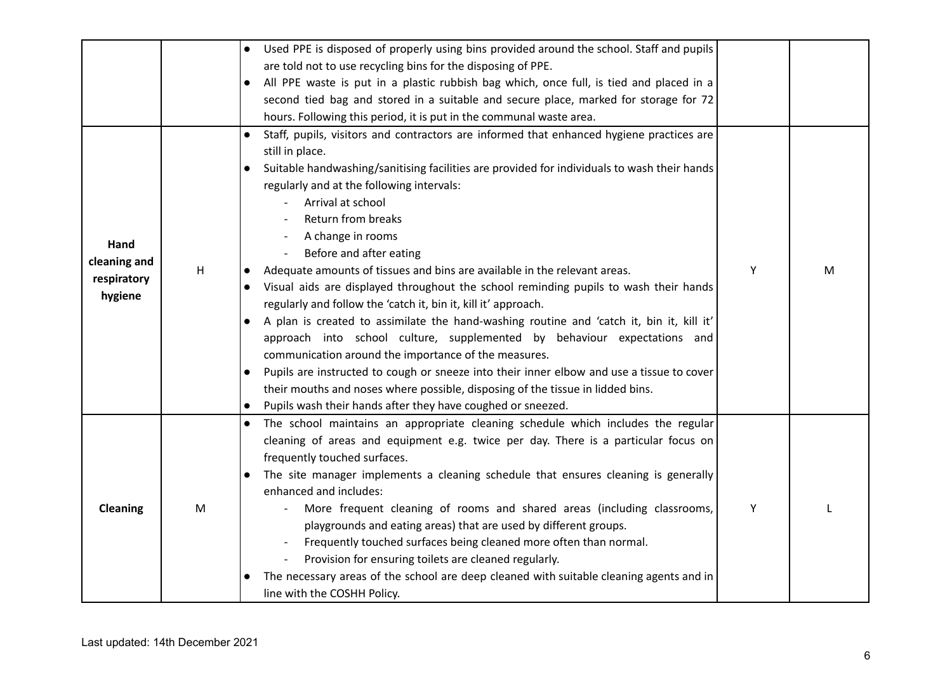|                                                |   | Used PPE is disposed of properly using bins provided around the school. Staff and pupils<br>$\bullet$<br>are told not to use recycling bins for the disposing of PPE.<br>All PPE waste is put in a plastic rubbish bag which, once full, is tied and placed in a<br>second tied bag and stored in a suitable and secure place, marked for storage for 72<br>hours. Following this period, it is put in the communal waste area.                                                                                                                                                                                                                                                                                                                                                                                                                                                                                                                                                                                                                                                                                                                       |   |   |
|------------------------------------------------|---|-------------------------------------------------------------------------------------------------------------------------------------------------------------------------------------------------------------------------------------------------------------------------------------------------------------------------------------------------------------------------------------------------------------------------------------------------------------------------------------------------------------------------------------------------------------------------------------------------------------------------------------------------------------------------------------------------------------------------------------------------------------------------------------------------------------------------------------------------------------------------------------------------------------------------------------------------------------------------------------------------------------------------------------------------------------------------------------------------------------------------------------------------------|---|---|
| Hand<br>cleaning and<br>respiratory<br>hygiene | H | Staff, pupils, visitors and contractors are informed that enhanced hygiene practices are<br>$\bullet$<br>still in place.<br>Suitable handwashing/sanitising facilities are provided for individuals to wash their hands<br>$\bullet$<br>regularly and at the following intervals:<br>Arrival at school<br>Return from breaks<br>A change in rooms<br>Before and after eating<br>Adequate amounts of tissues and bins are available in the relevant areas.<br>$\bullet$<br>Visual aids are displayed throughout the school reminding pupils to wash their hands<br>$\bullet$<br>regularly and follow the 'catch it, bin it, kill it' approach.<br>A plan is created to assimilate the hand-washing routine and 'catch it, bin it, kill it'<br>$\bullet$<br>approach into school culture, supplemented by behaviour expectations and<br>communication around the importance of the measures.<br>Pupils are instructed to cough or sneeze into their inner elbow and use a tissue to cover<br>$\bullet$<br>their mouths and noses where possible, disposing of the tissue in lidded bins.<br>Pupils wash their hands after they have coughed or sneezed. | Y | M |
| Cleaning                                       | M | The school maintains an appropriate cleaning schedule which includes the regular<br>$\bullet$<br>cleaning of areas and equipment e.g. twice per day. There is a particular focus on<br>frequently touched surfaces.<br>The site manager implements a cleaning schedule that ensures cleaning is generally<br>enhanced and includes:<br>More frequent cleaning of rooms and shared areas (including classrooms,<br>playgrounds and eating areas) that are used by different groups.<br>Frequently touched surfaces being cleaned more often than normal.<br>Provision for ensuring toilets are cleaned regularly.<br>The necessary areas of the school are deep cleaned with suitable cleaning agents and in<br>$\bullet$<br>line with the COSHH Policy.                                                                                                                                                                                                                                                                                                                                                                                               | Y |   |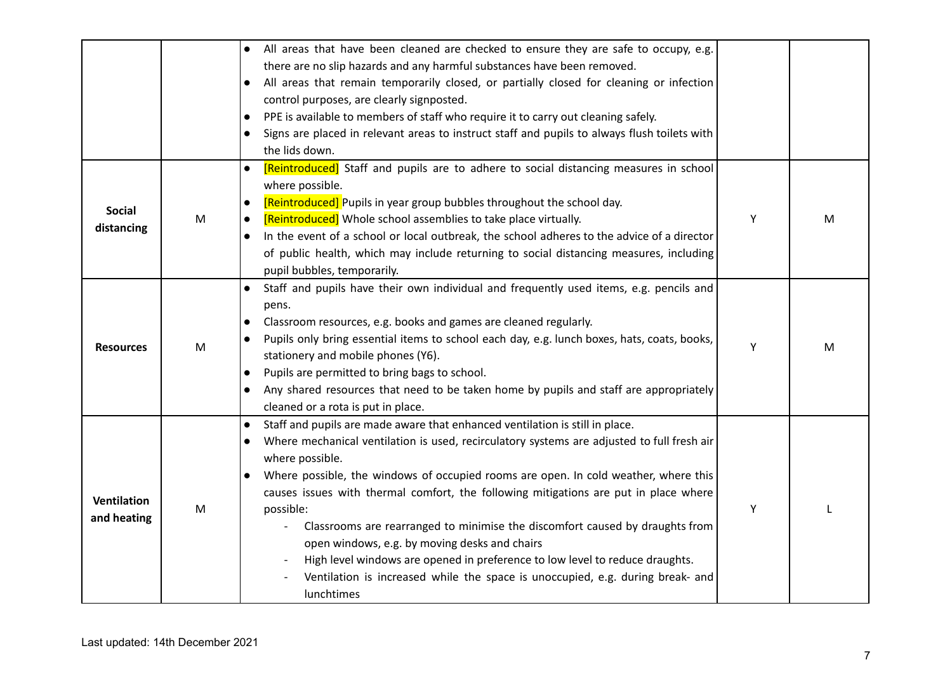|                                   |   | All areas that have been cleaned are checked to ensure they are safe to occupy, e.g.<br>$\bullet$<br>there are no slip hazards and any harmful substances have been removed.<br>All areas that remain temporarily closed, or partially closed for cleaning or infection<br>control purposes, are clearly signposted.<br>PPE is available to members of staff who require it to carry out cleaning safely.<br>$\bullet$<br>Signs are placed in relevant areas to instruct staff and pupils to always flush toilets with<br>$\bullet$<br>the lids down.                                                                                                                                                                                                    |   |   |
|-----------------------------------|---|----------------------------------------------------------------------------------------------------------------------------------------------------------------------------------------------------------------------------------------------------------------------------------------------------------------------------------------------------------------------------------------------------------------------------------------------------------------------------------------------------------------------------------------------------------------------------------------------------------------------------------------------------------------------------------------------------------------------------------------------------------|---|---|
| <b>Social</b><br>distancing       | M | [Reintroduced] Staff and pupils are to adhere to social distancing measures in school<br>$\bullet$<br>where possible.<br>[Reintroduced] Pupils in year group bubbles throughout the school day.<br>$\bullet$<br>[Reintroduced] Whole school assemblies to take place virtually.<br>$\bullet$<br>In the event of a school or local outbreak, the school adheres to the advice of a director<br>$\bullet$<br>of public health, which may include returning to social distancing measures, including<br>pupil bubbles, temporarily.                                                                                                                                                                                                                         | Y | M |
| <b>Resources</b>                  | M | Staff and pupils have their own individual and frequently used items, e.g. pencils and<br>pens.<br>Classroom resources, e.g. books and games are cleaned regularly.<br>$\bullet$<br>Pupils only bring essential items to school each day, e.g. lunch boxes, hats, coats, books,<br>stationery and mobile phones (Y6).<br>Pupils are permitted to bring bags to school.<br>$\bullet$<br>Any shared resources that need to be taken home by pupils and staff are appropriately<br>$\bullet$<br>cleaned or a rota is put in place.                                                                                                                                                                                                                          | Y | M |
| <b>Ventilation</b><br>and heating | M | Staff and pupils are made aware that enhanced ventilation is still in place.<br>$\bullet$<br>Where mechanical ventilation is used, recirculatory systems are adjusted to full fresh air<br>$\bullet$<br>where possible.<br>Where possible, the windows of occupied rooms are open. In cold weather, where this<br>$\bullet$<br>causes issues with thermal comfort, the following mitigations are put in place where<br>possible:<br>Classrooms are rearranged to minimise the discomfort caused by draughts from<br>open windows, e.g. by moving desks and chairs<br>High level windows are opened in preference to low level to reduce draughts.<br>Ventilation is increased while the space is unoccupied, e.g. during break- and<br><b>lunchtimes</b> | Y |   |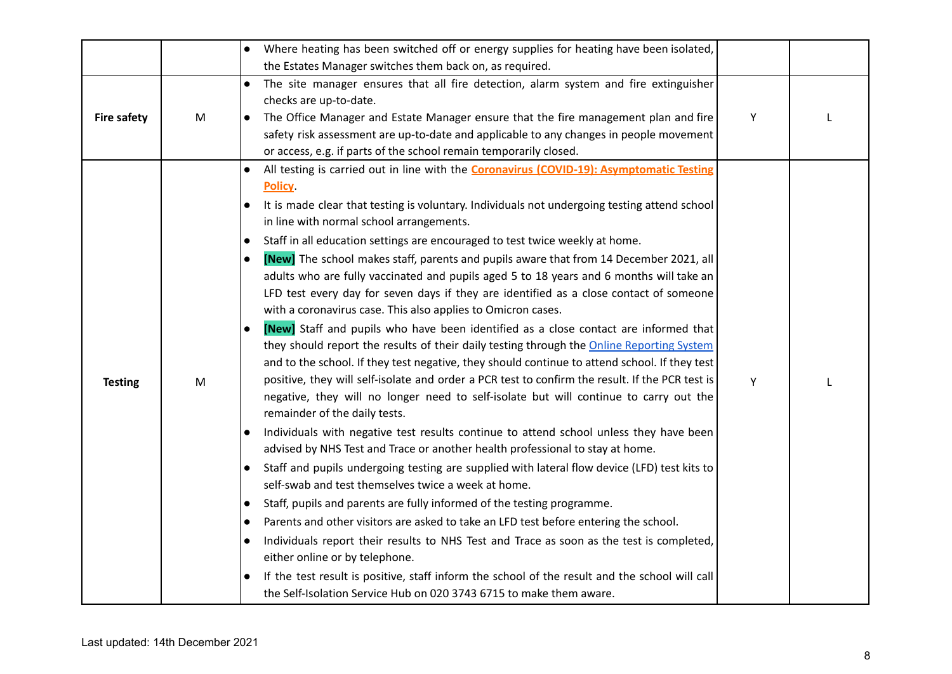|                    |   | Where heating has been switched off or energy supplies for heating have been isolated,<br>$\bullet$                                                                                                                                                                                                                                                                                                                                                                                                                                                                                                                                                                                                                                                                                                                                                                                                                                                                                                                                                                                                                                                                                                                                                                                                                                                                                                                                                                                                                                                                                                                                                                                                                                                                                                                                                                                                                                                                                                                                                                                                                                                   |   |  |
|--------------------|---|-------------------------------------------------------------------------------------------------------------------------------------------------------------------------------------------------------------------------------------------------------------------------------------------------------------------------------------------------------------------------------------------------------------------------------------------------------------------------------------------------------------------------------------------------------------------------------------------------------------------------------------------------------------------------------------------------------------------------------------------------------------------------------------------------------------------------------------------------------------------------------------------------------------------------------------------------------------------------------------------------------------------------------------------------------------------------------------------------------------------------------------------------------------------------------------------------------------------------------------------------------------------------------------------------------------------------------------------------------------------------------------------------------------------------------------------------------------------------------------------------------------------------------------------------------------------------------------------------------------------------------------------------------------------------------------------------------------------------------------------------------------------------------------------------------------------------------------------------------------------------------------------------------------------------------------------------------------------------------------------------------------------------------------------------------------------------------------------------------------------------------------------------------|---|--|
|                    |   | the Estates Manager switches them back on, as required.                                                                                                                                                                                                                                                                                                                                                                                                                                                                                                                                                                                                                                                                                                                                                                                                                                                                                                                                                                                                                                                                                                                                                                                                                                                                                                                                                                                                                                                                                                                                                                                                                                                                                                                                                                                                                                                                                                                                                                                                                                                                                               |   |  |
| <b>Fire safety</b> | M | The site manager ensures that all fire detection, alarm system and fire extinguisher<br>checks are up-to-date.<br>The Office Manager and Estate Manager ensure that the fire management plan and fire<br>$\bullet$<br>safety risk assessment are up-to-date and applicable to any changes in people movement<br>or access, e.g. if parts of the school remain temporarily closed.                                                                                                                                                                                                                                                                                                                                                                                                                                                                                                                                                                                                                                                                                                                                                                                                                                                                                                                                                                                                                                                                                                                                                                                                                                                                                                                                                                                                                                                                                                                                                                                                                                                                                                                                                                     | Y |  |
| <b>Testing</b>     | M | All testing is carried out in line with the <b>Coronavirus (COVID-19): Asymptomatic Testing</b><br>$\bullet$<br><b>Policy</b><br>It is made clear that testing is voluntary. Individuals not undergoing testing attend school<br>$\bullet$<br>in line with normal school arrangements.<br>Staff in all education settings are encouraged to test twice weekly at home.<br>$\bullet$<br><b>[New]</b> The school makes staff, parents and pupils aware that from 14 December 2021, all<br>$\bullet$<br>adults who are fully vaccinated and pupils aged 5 to 18 years and 6 months will take an<br>LFD test every day for seven days if they are identified as a close contact of someone<br>with a coronavirus case. This also applies to Omicron cases.<br>[New] Staff and pupils who have been identified as a close contact are informed that<br>$\bullet$<br>they should report the results of their daily testing through the Online Reporting System<br>and to the school. If they test negative, they should continue to attend school. If they test<br>positive, they will self-isolate and order a PCR test to confirm the result. If the PCR test is<br>negative, they will no longer need to self-isolate but will continue to carry out the<br>remainder of the daily tests.<br>Individuals with negative test results continue to attend school unless they have been<br>advised by NHS Test and Trace or another health professional to stay at home.<br>Staff and pupils undergoing testing are supplied with lateral flow device (LFD) test kits to<br>self-swab and test themselves twice a week at home.<br>Staff, pupils and parents are fully informed of the testing programme.<br>$\bullet$<br>Parents and other visitors are asked to take an LFD test before entering the school.<br>$\bullet$<br>Individuals report their results to NHS Test and Trace as soon as the test is completed,<br>$\bullet$<br>either online or by telephone.<br>If the test result is positive, staff inform the school of the result and the school will call<br>$\bullet$<br>the Self-Isolation Service Hub on 020 3743 6715 to make them aware. | Υ |  |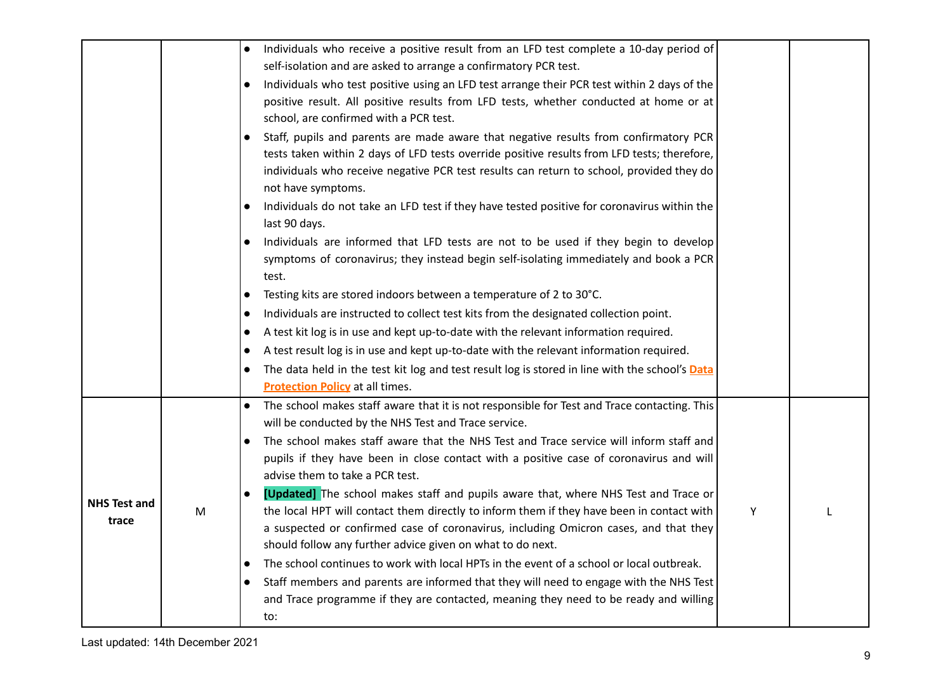|                              |   | Individuals who receive a positive result from an LFD test complete a 10-day period of<br>$\bullet$<br>self-isolation and are asked to arrange a confirmatory PCR test.                                                                                                                                                                                                                                                                                                                                                                                                                                                                                                                                                                                                                                                                                                                                                                                                                                                                                                    |   |  |
|------------------------------|---|----------------------------------------------------------------------------------------------------------------------------------------------------------------------------------------------------------------------------------------------------------------------------------------------------------------------------------------------------------------------------------------------------------------------------------------------------------------------------------------------------------------------------------------------------------------------------------------------------------------------------------------------------------------------------------------------------------------------------------------------------------------------------------------------------------------------------------------------------------------------------------------------------------------------------------------------------------------------------------------------------------------------------------------------------------------------------|---|--|
|                              |   | Individuals who test positive using an LFD test arrange their PCR test within 2 days of the<br>$\bullet$<br>positive result. All positive results from LFD tests, whether conducted at home or at<br>school, are confirmed with a PCR test.                                                                                                                                                                                                                                                                                                                                                                                                                                                                                                                                                                                                                                                                                                                                                                                                                                |   |  |
|                              |   | Staff, pupils and parents are made aware that negative results from confirmatory PCR<br>$\bullet$<br>tests taken within 2 days of LFD tests override positive results from LFD tests; therefore,<br>individuals who receive negative PCR test results can return to school, provided they do<br>not have symptoms.<br>Individuals do not take an LFD test if they have tested positive for coronavirus within the<br>$\bullet$<br>last 90 days.<br>Individuals are informed that LFD tests are not to be used if they begin to develop<br>$\bullet$<br>symptoms of coronavirus; they instead begin self-isolating immediately and book a PCR<br>test.<br>Testing kits are stored indoors between a temperature of 2 to 30°C.<br>$\bullet$                                                                                                                                                                                                                                                                                                                                  |   |  |
|                              |   | Individuals are instructed to collect test kits from the designated collection point.<br>$\bullet$<br>A test kit log is in use and kept up-to-date with the relevant information required.<br>$\bullet$<br>A test result log is in use and kept up-to-date with the relevant information required.<br>$\bullet$<br>The data held in the test kit log and test result log is stored in line with the school's <b>Data</b><br>$\bullet$<br><b>Protection Policy</b> at all times.                                                                                                                                                                                                                                                                                                                                                                                                                                                                                                                                                                                            |   |  |
| <b>NHS Test and</b><br>trace | M | The school makes staff aware that it is not responsible for Test and Trace contacting. This<br>$\bullet$<br>will be conducted by the NHS Test and Trace service.<br>The school makes staff aware that the NHS Test and Trace service will inform staff and<br>$\bullet$<br>pupils if they have been in close contact with a positive case of coronavirus and will<br>advise them to take a PCR test.<br>[Updated] The school makes staff and pupils aware that, where NHS Test and Trace or<br>$\bullet$<br>the local HPT will contact them directly to inform them if they have been in contact with<br>a suspected or confirmed case of coronavirus, including Omicron cases, and that they<br>should follow any further advice given on what to do next.<br>The school continues to work with local HPTs in the event of a school or local outbreak.<br>$\bullet$<br>Staff members and parents are informed that they will need to engage with the NHS Test<br>$\bullet$<br>and Trace programme if they are contacted, meaning they need to be ready and willing<br>to: | Y |  |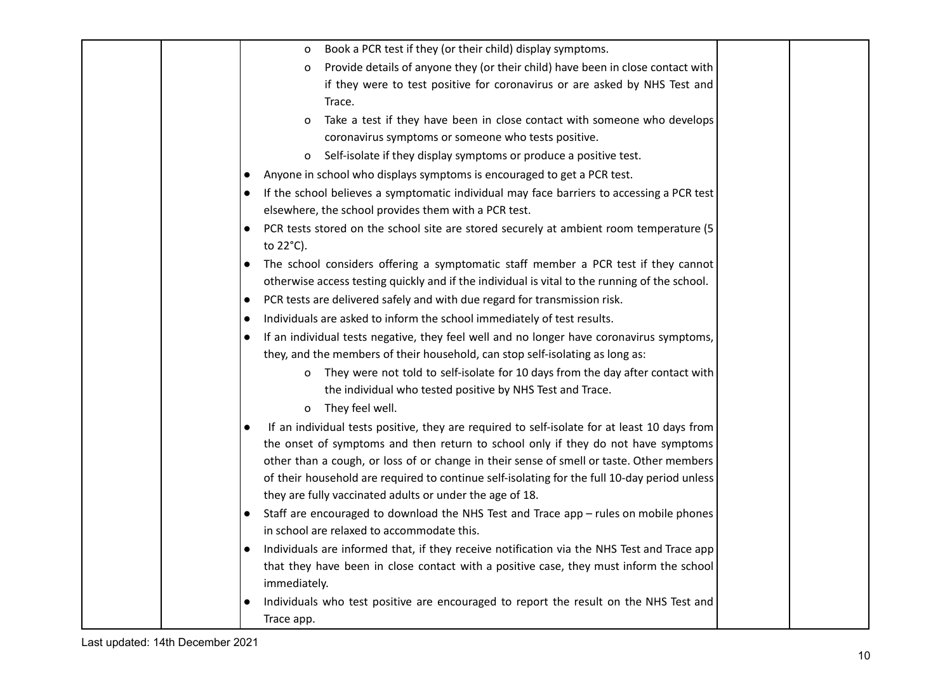|  | Book a PCR test if they (or their child) display symptoms.<br>0                                     |  |
|--|-----------------------------------------------------------------------------------------------------|--|
|  | Provide details of anyone they (or their child) have been in close contact with<br>0                |  |
|  | if they were to test positive for coronavirus or are asked by NHS Test and                          |  |
|  | Trace.                                                                                              |  |
|  | Take a test if they have been in close contact with someone who develops<br>0                       |  |
|  | coronavirus symptoms or someone who tests positive.                                                 |  |
|  | Self-isolate if they display symptoms or produce a positive test.<br>0                              |  |
|  | Anyone in school who displays symptoms is encouraged to get a PCR test.                             |  |
|  | If the school believes a symptomatic individual may face barriers to accessing a PCR test           |  |
|  | elsewhere, the school provides them with a PCR test.                                                |  |
|  | PCR tests stored on the school site are stored securely at ambient room temperature (5<br>to 22°C). |  |
|  | The school considers offering a symptomatic staff member a PCR test if they cannot                  |  |
|  | otherwise access testing quickly and if the individual is vital to the running of the school.       |  |
|  | PCR tests are delivered safely and with due regard for transmission risk.<br>$\bullet$              |  |
|  | Individuals are asked to inform the school immediately of test results.<br>$\bullet$                |  |
|  | If an individual tests negative, they feel well and no longer have coronavirus symptoms,            |  |
|  | they, and the members of their household, can stop self-isolating as long as:                       |  |
|  | They were not told to self-isolate for 10 days from the day after contact with<br>0                 |  |
|  | the individual who tested positive by NHS Test and Trace.                                           |  |
|  | They feel well.<br>0                                                                                |  |
|  | If an individual tests positive, they are required to self-isolate for at least 10 days from        |  |
|  | the onset of symptoms and then return to school only if they do not have symptoms                   |  |
|  | other than a cough, or loss of or change in their sense of smell or taste. Other members            |  |
|  | of their household are required to continue self-isolating for the full 10-day period unless        |  |
|  | they are fully vaccinated adults or under the age of 18.                                            |  |
|  | Staff are encouraged to download the NHS Test and Trace app - rules on mobile phones<br>$\bullet$   |  |
|  | in school are relaxed to accommodate this.                                                          |  |
|  | Individuals are informed that, if they receive notification via the NHS Test and Trace app          |  |
|  | that they have been in close contact with a positive case, they must inform the school              |  |
|  | immediately.                                                                                        |  |
|  | Individuals who test positive are encouraged to report the result on the NHS Test and<br>$\bullet$  |  |
|  | Trace app.                                                                                          |  |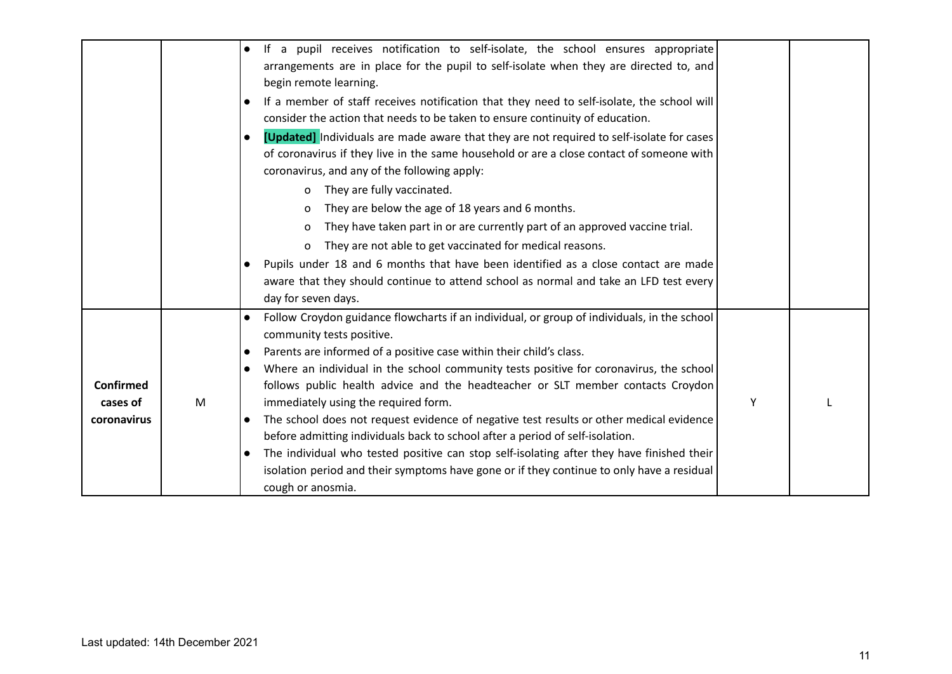|                  |   | If a pupil receives notification to self-isolate, the school ensures appropriate<br>$\bullet$            |   |  |
|------------------|---|----------------------------------------------------------------------------------------------------------|---|--|
|                  |   | arrangements are in place for the pupil to self-isolate when they are directed to, and                   |   |  |
|                  |   | begin remote learning.                                                                                   |   |  |
|                  |   | If a member of staff receives notification that they need to self-isolate, the school will<br>$\bullet$  |   |  |
|                  |   | consider the action that needs to be taken to ensure continuity of education.                            |   |  |
|                  |   | [Updated] Individuals are made aware that they are not required to self-isolate for cases<br>$\bullet$   |   |  |
|                  |   | of coronavirus if they live in the same household or are a close contact of someone with                 |   |  |
|                  |   | coronavirus, and any of the following apply:                                                             |   |  |
|                  |   | They are fully vaccinated.<br>0                                                                          |   |  |
|                  |   | They are below the age of 18 years and 6 months.<br>O                                                    |   |  |
|                  |   | They have taken part in or are currently part of an approved vaccine trial.<br>O                         |   |  |
|                  |   | They are not able to get vaccinated for medical reasons.<br>0                                            |   |  |
|                  |   | Pupils under 18 and 6 months that have been identified as a close contact are made<br>$\bullet$          |   |  |
|                  |   | aware that they should continue to attend school as normal and take an LFD test every                    |   |  |
|                  |   | day for seven days.                                                                                      |   |  |
|                  |   | Follow Croydon guidance flowcharts if an individual, or group of individuals, in the school<br>$\bullet$ |   |  |
|                  |   | community tests positive.                                                                                |   |  |
|                  |   | Parents are informed of a positive case within their child's class.<br>$\bullet$                         |   |  |
|                  |   | Where an individual in the school community tests positive for coronavirus, the school<br>$\bullet$      |   |  |
| <b>Confirmed</b> |   | follows public health advice and the headteacher or SLT member contacts Croydon                          |   |  |
| cases of         | M | immediately using the required form.                                                                     | Y |  |
| coronavirus      |   | The school does not request evidence of negative test results or other medical evidence<br>$\bullet$     |   |  |
|                  |   | before admitting individuals back to school after a period of self-isolation.                            |   |  |
|                  |   | The individual who tested positive can stop self-isolating after they have finished their<br>$\bullet$   |   |  |
|                  |   | isolation period and their symptoms have gone or if they continue to only have a residual                |   |  |
|                  |   | cough or anosmia.                                                                                        |   |  |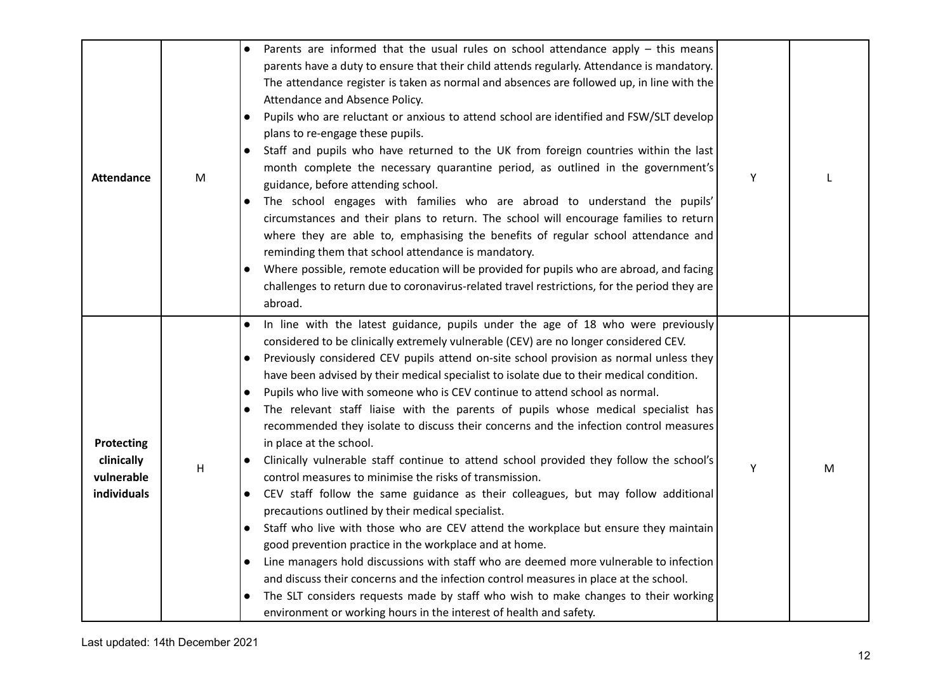| <b>Attendance</b>                                            | M | Parents are informed that the usual rules on school attendance apply – this means<br>parents have a duty to ensure that their child attends regularly. Attendance is mandatory.<br>The attendance register is taken as normal and absences are followed up, in line with the<br>Attendance and Absence Policy.<br>Pupils who are reluctant or anxious to attend school are identified and FSW/SLT develop<br>$\bullet$<br>plans to re-engage these pupils.<br>Staff and pupils who have returned to the UK from foreign countries within the last<br>$\bullet$<br>month complete the necessary quarantine period, as outlined in the government's<br>guidance, before attending school.<br>The school engages with families who are abroad to understand the pupils'<br>$\bullet$<br>circumstances and their plans to return. The school will encourage families to return<br>where they are able to, emphasising the benefits of regular school attendance and<br>reminding them that school attendance is mandatory.<br>Where possible, remote education will be provided for pupils who are abroad, and facing<br>challenges to return due to coronavirus-related travel restrictions, for the period they are<br>abroad.                                                                                                                                                                                                                                                                                                                      | Y |   |
|--------------------------------------------------------------|---|---------------------------------------------------------------------------------------------------------------------------------------------------------------------------------------------------------------------------------------------------------------------------------------------------------------------------------------------------------------------------------------------------------------------------------------------------------------------------------------------------------------------------------------------------------------------------------------------------------------------------------------------------------------------------------------------------------------------------------------------------------------------------------------------------------------------------------------------------------------------------------------------------------------------------------------------------------------------------------------------------------------------------------------------------------------------------------------------------------------------------------------------------------------------------------------------------------------------------------------------------------------------------------------------------------------------------------------------------------------------------------------------------------------------------------------------------------------------------------------------------------------------------------------------------|---|---|
| <b>Protecting</b><br>clinically<br>vulnerable<br>individuals | Н | In line with the latest guidance, pupils under the age of 18 who were previously<br>$\bullet$<br>considered to be clinically extremely vulnerable (CEV) are no longer considered CEV.<br>Previously considered CEV pupils attend on-site school provision as normal unless they<br>$\bullet$<br>have been advised by their medical specialist to isolate due to their medical condition.<br>Pupils who live with someone who is CEV continue to attend school as normal.<br>$\bullet$<br>The relevant staff liaise with the parents of pupils whose medical specialist has<br>$\bullet$<br>recommended they isolate to discuss their concerns and the infection control measures<br>in place at the school.<br>Clinically vulnerable staff continue to attend school provided they follow the school's<br>control measures to minimise the risks of transmission.<br>CEV staff follow the same guidance as their colleagues, but may follow additional<br>$\bullet$<br>precautions outlined by their medical specialist.<br>Staff who live with those who are CEV attend the workplace but ensure they maintain<br>$\bullet$<br>good prevention practice in the workplace and at home.<br>Line managers hold discussions with staff who are deemed more vulnerable to infection<br>$\bullet$<br>and discuss their concerns and the infection control measures in place at the school.<br>The SLT considers requests made by staff who wish to make changes to their working<br>environment or working hours in the interest of health and safety. | Υ | M |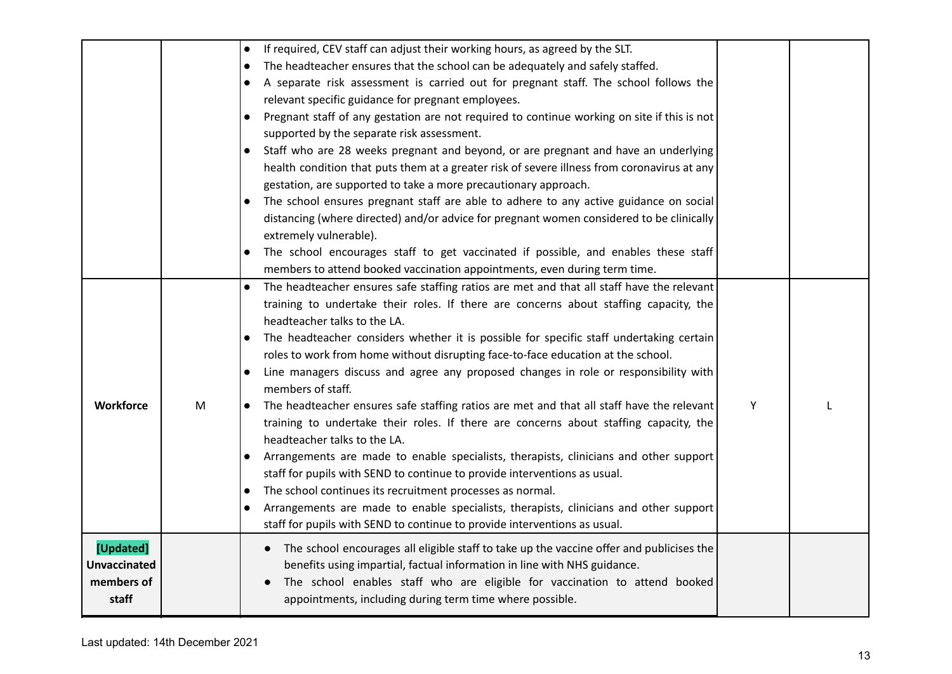|                     |   | If required, CEV staff can adjust their working hours, as agreed by the SLT.<br>$\bullet$                |   |  |
|---------------------|---|----------------------------------------------------------------------------------------------------------|---|--|
|                     |   | The headteacher ensures that the school can be adequately and safely staffed.<br>$\bullet$               |   |  |
|                     |   | A separate risk assessment is carried out for pregnant staff. The school follows the<br>$\bullet$        |   |  |
|                     |   | relevant specific guidance for pregnant employees.                                                       |   |  |
|                     |   | Pregnant staff of any gestation are not required to continue working on site if this is not<br>$\bullet$ |   |  |
|                     |   | supported by the separate risk assessment.                                                               |   |  |
|                     |   | Staff who are 28 weeks pregnant and beyond, or are pregnant and have an underlying                       |   |  |
|                     |   | health condition that puts them at a greater risk of severe illness from coronavirus at any              |   |  |
|                     |   | gestation, are supported to take a more precautionary approach.                                          |   |  |
|                     |   | The school ensures pregnant staff are able to adhere to any active guidance on social<br>$\bullet$       |   |  |
|                     |   | distancing (where directed) and/or advice for pregnant women considered to be clinically                 |   |  |
|                     |   | extremely vulnerable).                                                                                   |   |  |
|                     |   | The school encourages staff to get vaccinated if possible, and enables these staff                       |   |  |
|                     |   | members to attend booked vaccination appointments, even during term time.                                |   |  |
|                     |   | The headteacher ensures safe staffing ratios are met and that all staff have the relevant<br>$\bullet$   |   |  |
|                     |   | training to undertake their roles. If there are concerns about staffing capacity, the                    |   |  |
|                     |   | headteacher talks to the LA.                                                                             |   |  |
|                     |   | The headteacher considers whether it is possible for specific staff undertaking certain                  |   |  |
|                     |   | roles to work from home without disrupting face-to-face education at the school.                         |   |  |
|                     |   | Line managers discuss and agree any proposed changes in role or responsibility with<br>$\bullet$         |   |  |
|                     |   | members of staff.                                                                                        |   |  |
| <b>Workforce</b>    | M | The headteacher ensures safe staffing ratios are met and that all staff have the relevant                | Υ |  |
|                     |   | training to undertake their roles. If there are concerns about staffing capacity, the                    |   |  |
|                     |   | headteacher talks to the LA.                                                                             |   |  |
|                     |   | Arrangements are made to enable specialists, therapists, clinicians and other support<br>$\bullet$       |   |  |
|                     |   | staff for pupils with SEND to continue to provide interventions as usual.                                |   |  |
|                     |   | The school continues its recruitment processes as normal.<br>$\bullet$                                   |   |  |
|                     |   | Arrangements are made to enable specialists, therapists, clinicians and other support<br>$\bullet$       |   |  |
|                     |   | staff for pupils with SEND to continue to provide interventions as usual.                                |   |  |
| [Updated]           |   | The school encourages all eligible staff to take up the vaccine offer and publicises the<br>$\bullet$    |   |  |
| <b>Unvaccinated</b> |   | benefits using impartial, factual information in line with NHS guidance.                                 |   |  |
| members of          |   | The school enables staff who are eligible for vaccination to attend booked                               |   |  |
| staff               |   | appointments, including during term time where possible.                                                 |   |  |
|                     |   |                                                                                                          |   |  |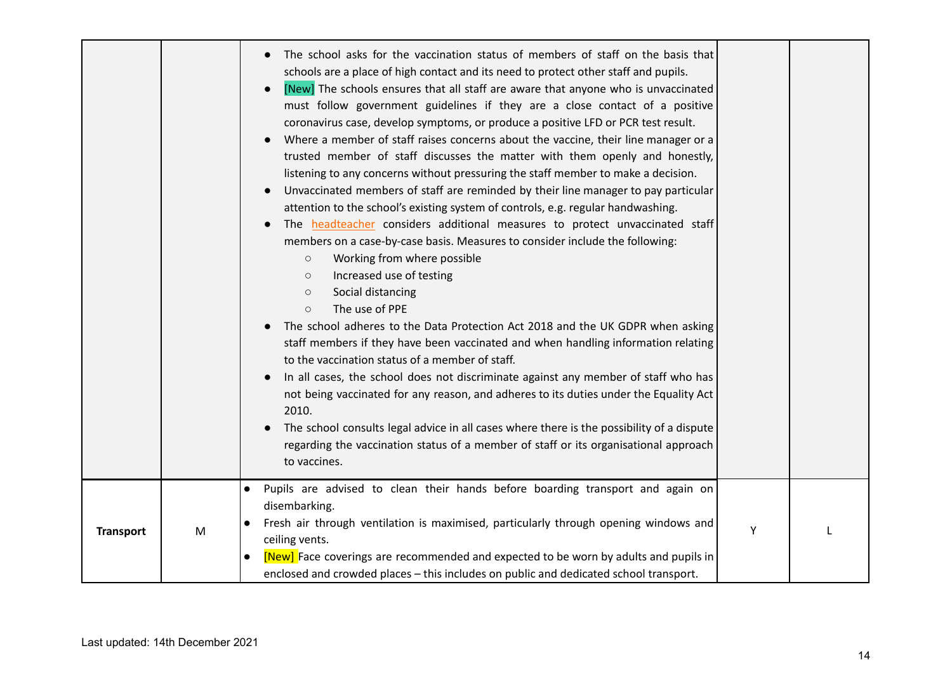|                  |   | The school asks for the vaccination status of members of staff on the basis that<br>schools are a place of high contact and its need to protect other staff and pupils.<br>[New] The schools ensures that all staff are aware that anyone who is unvaccinated<br>must follow government guidelines if they are a close contact of a positive<br>coronavirus case, develop symptoms, or produce a positive LFD or PCR test result.<br>Where a member of staff raises concerns about the vaccine, their line manager or a<br>trusted member of staff discusses the matter with them openly and honestly,<br>listening to any concerns without pressuring the staff member to make a decision.<br>Unvaccinated members of staff are reminded by their line manager to pay particular<br>attention to the school's existing system of controls, e.g. regular handwashing.<br>The headteacher considers additional measures to protect unvaccinated staff<br>members on a case-by-case basis. Measures to consider include the following:<br>Working from where possible<br>$\bigcirc$<br>Increased use of testing<br>$\bigcirc$<br>Social distancing<br>$\bigcirc$<br>The use of PPE<br>$\circ$<br>The school adheres to the Data Protection Act 2018 and the UK GDPR when asking<br>staff members if they have been vaccinated and when handling information relating<br>to the vaccination status of a member of staff.<br>In all cases, the school does not discriminate against any member of staff who has<br>$\bullet$<br>not being vaccinated for any reason, and adheres to its duties under the Equality Act<br>2010.<br>The school consults legal advice in all cases where there is the possibility of a dispute<br>regarding the vaccination status of a member of staff or its organisational approach<br>to vaccines. |   |  |
|------------------|---|---------------------------------------------------------------------------------------------------------------------------------------------------------------------------------------------------------------------------------------------------------------------------------------------------------------------------------------------------------------------------------------------------------------------------------------------------------------------------------------------------------------------------------------------------------------------------------------------------------------------------------------------------------------------------------------------------------------------------------------------------------------------------------------------------------------------------------------------------------------------------------------------------------------------------------------------------------------------------------------------------------------------------------------------------------------------------------------------------------------------------------------------------------------------------------------------------------------------------------------------------------------------------------------------------------------------------------------------------------------------------------------------------------------------------------------------------------------------------------------------------------------------------------------------------------------------------------------------------------------------------------------------------------------------------------------------------------------------------------------------------------------------------------------------------------------------------------|---|--|
| <b>Transport</b> | M | Pupils are advised to clean their hands before boarding transport and again on<br>$\bullet$<br>disembarking.<br>Fresh air through ventilation is maximised, particularly through opening windows and<br>$\bullet$<br>ceiling vents.<br>[New] Face coverings are recommended and expected to be worn by adults and pupils in<br>enclosed and crowded places - this includes on public and dedicated school transport.                                                                                                                                                                                                                                                                                                                                                                                                                                                                                                                                                                                                                                                                                                                                                                                                                                                                                                                                                                                                                                                                                                                                                                                                                                                                                                                                                                                                            | Υ |  |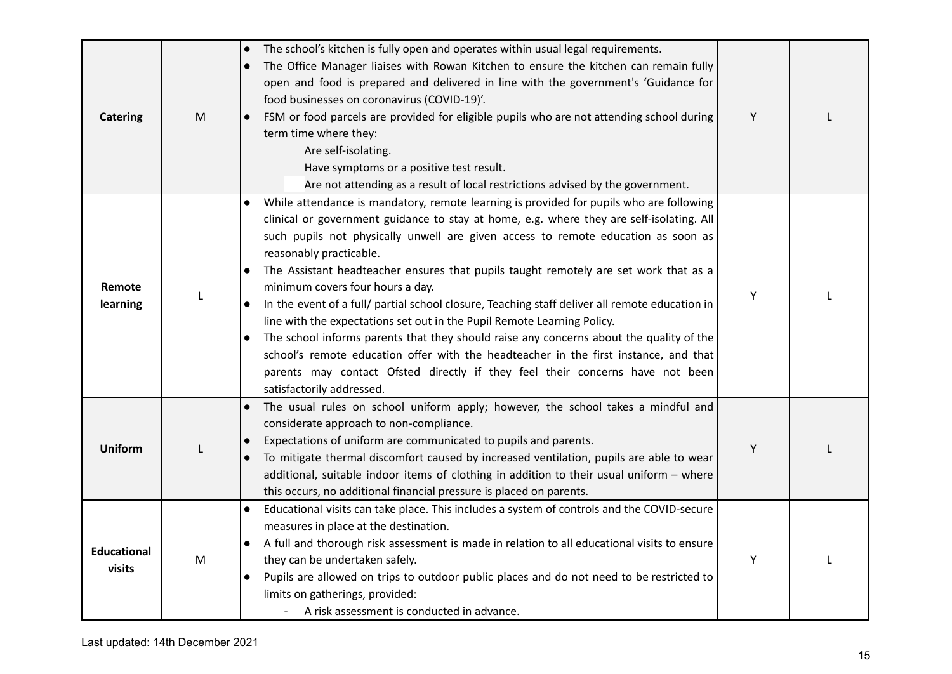| <b>Catering</b>              | ${\sf M}$ | The school's kitchen is fully open and operates within usual legal requirements.<br>$\bullet$<br>The Office Manager liaises with Rowan Kitchen to ensure the kitchen can remain fully<br>$\bullet$<br>open and food is prepared and delivered in line with the government's 'Guidance for<br>food businesses on coronavirus (COVID-19)'.<br>FSM or food parcels are provided for eligible pupils who are not attending school during<br>term time where they:<br>Are self-isolating.<br>Have symptoms or a positive test result.<br>Are not attending as a result of local restrictions advised by the government.                                                                                                                                                                                                                                                                                                         | Y |  |
|------------------------------|-----------|----------------------------------------------------------------------------------------------------------------------------------------------------------------------------------------------------------------------------------------------------------------------------------------------------------------------------------------------------------------------------------------------------------------------------------------------------------------------------------------------------------------------------------------------------------------------------------------------------------------------------------------------------------------------------------------------------------------------------------------------------------------------------------------------------------------------------------------------------------------------------------------------------------------------------|---|--|
| Remote<br>learning           | L         | While attendance is mandatory, remote learning is provided for pupils who are following<br>clinical or government guidance to stay at home, e.g. where they are self-isolating. All<br>such pupils not physically unwell are given access to remote education as soon as<br>reasonably practicable.<br>The Assistant headteacher ensures that pupils taught remotely are set work that as a<br>minimum covers four hours a day.<br>In the event of a full/ partial school closure, Teaching staff deliver all remote education in<br>$\bullet$<br>line with the expectations set out in the Pupil Remote Learning Policy.<br>The school informs parents that they should raise any concerns about the quality of the<br>school's remote education offer with the headteacher in the first instance, and that<br>parents may contact Ofsted directly if they feel their concerns have not been<br>satisfactorily addressed. | Υ |  |
| <b>Uniform</b>               | L         | The usual rules on school uniform apply; however, the school takes a mindful and<br>$\bullet$<br>considerate approach to non-compliance.<br>Expectations of uniform are communicated to pupils and parents.<br>To mitigate thermal discomfort caused by increased ventilation, pupils are able to wear<br>additional, suitable indoor items of clothing in addition to their usual uniform - where<br>this occurs, no additional financial pressure is placed on parents.                                                                                                                                                                                                                                                                                                                                                                                                                                                  | Y |  |
| <b>Educational</b><br>visits | M         | Educational visits can take place. This includes a system of controls and the COVID-secure<br>$\bullet$<br>measures in place at the destination.<br>A full and thorough risk assessment is made in relation to all educational visits to ensure<br>they can be undertaken safely.<br>Pupils are allowed on trips to outdoor public places and do not need to be restricted to<br>$\bullet$<br>limits on gatherings, provided:<br>A risk assessment is conducted in advance.                                                                                                                                                                                                                                                                                                                                                                                                                                                | Υ |  |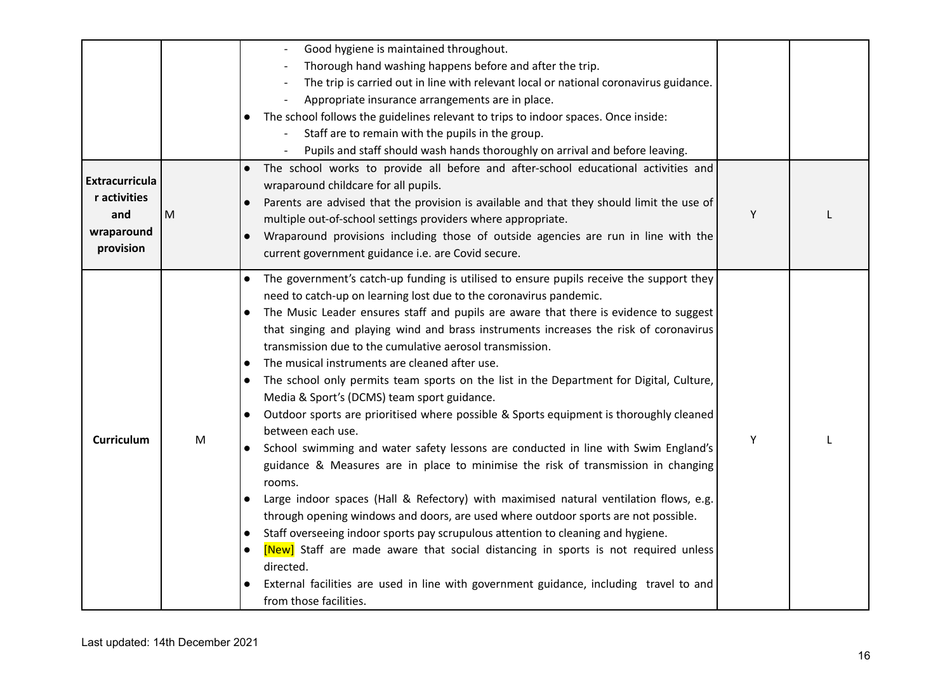|                                                                         |           | Good hygiene is maintained throughout.<br>Thorough hand washing happens before and after the trip.<br>The trip is carried out in line with relevant local or national coronavirus guidance.<br>Appropriate insurance arrangements are in place.<br>The school follows the guidelines relevant to trips to indoor spaces. Once inside:<br>Staff are to remain with the pupils in the group.<br>Pupils and staff should wash hands thoroughly on arrival and before leaving.                                                                                                                                                                                                                                                                                                                                                                                                                                                                                                                                                                                                                                                                                                                                                                                                                                                                                                                                                                   |   |  |
|-------------------------------------------------------------------------|-----------|----------------------------------------------------------------------------------------------------------------------------------------------------------------------------------------------------------------------------------------------------------------------------------------------------------------------------------------------------------------------------------------------------------------------------------------------------------------------------------------------------------------------------------------------------------------------------------------------------------------------------------------------------------------------------------------------------------------------------------------------------------------------------------------------------------------------------------------------------------------------------------------------------------------------------------------------------------------------------------------------------------------------------------------------------------------------------------------------------------------------------------------------------------------------------------------------------------------------------------------------------------------------------------------------------------------------------------------------------------------------------------------------------------------------------------------------|---|--|
| <b>Extracurricula</b><br>r activities<br>and<br>wraparound<br>provision | M         | The school works to provide all before and after-school educational activities and<br>wraparound childcare for all pupils.<br>Parents are advised that the provision is available and that they should limit the use of<br>multiple out-of-school settings providers where appropriate.<br>Wraparound provisions including those of outside agencies are run in line with the<br>current government guidance i.e. are Covid secure.                                                                                                                                                                                                                                                                                                                                                                                                                                                                                                                                                                                                                                                                                                                                                                                                                                                                                                                                                                                                          | Y |  |
| Curriculum                                                              | ${\sf M}$ | The government's catch-up funding is utilised to ensure pupils receive the support they<br>$\bullet$<br>need to catch-up on learning lost due to the coronavirus pandemic.<br>The Music Leader ensures staff and pupils are aware that there is evidence to suggest<br>that singing and playing wind and brass instruments increases the risk of coronavirus<br>transmission due to the cumulative aerosol transmission.<br>The musical instruments are cleaned after use.<br>$\bullet$<br>The school only permits team sports on the list in the Department for Digital, Culture,<br>Media & Sport's (DCMS) team sport guidance.<br>Outdoor sports are prioritised where possible & Sports equipment is thoroughly cleaned<br>between each use.<br>School swimming and water safety lessons are conducted in line with Swim England's<br>guidance & Measures are in place to minimise the risk of transmission in changing<br>rooms.<br>Large indoor spaces (Hall & Refectory) with maximised natural ventilation flows, e.g.<br>$\bullet$<br>through opening windows and doors, are used where outdoor sports are not possible.<br>Staff overseeing indoor sports pay scrupulous attention to cleaning and hygiene.<br>[New] Staff are made aware that social distancing in sports is not required unless<br>directed.<br>External facilities are used in line with government guidance, including travel to and<br>from those facilities. | Υ |  |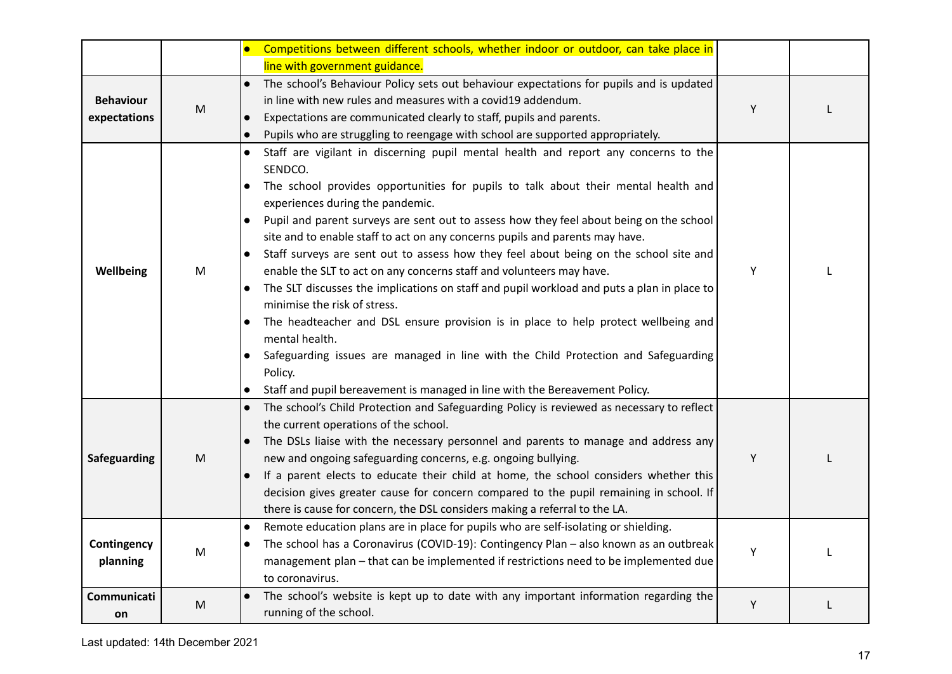|                                  |   | Competitions between different schools, whether indoor or outdoor, can take place in<br>$\bullet$                                                                                                                                                                                                                                                                                                                                                                                                                                                                                                                                                                                                                                                                                                                                                                                                                                                                                                                                                                        |   |  |
|----------------------------------|---|--------------------------------------------------------------------------------------------------------------------------------------------------------------------------------------------------------------------------------------------------------------------------------------------------------------------------------------------------------------------------------------------------------------------------------------------------------------------------------------------------------------------------------------------------------------------------------------------------------------------------------------------------------------------------------------------------------------------------------------------------------------------------------------------------------------------------------------------------------------------------------------------------------------------------------------------------------------------------------------------------------------------------------------------------------------------------|---|--|
|                                  |   | line with government guidance.                                                                                                                                                                                                                                                                                                                                                                                                                                                                                                                                                                                                                                                                                                                                                                                                                                                                                                                                                                                                                                           |   |  |
| <b>Behaviour</b><br>expectations | M | The school's Behaviour Policy sets out behaviour expectations for pupils and is updated<br>$\bullet$<br>in line with new rules and measures with a covid19 addendum.<br>Expectations are communicated clearly to staff, pupils and parents.<br>Pupils who are struggling to reengage with school are supported appropriately.<br>$\bullet$                                                                                                                                                                                                                                                                                                                                                                                                                                                                                                                                                                                                                                                                                                                               | Y |  |
| Wellbeing                        | M | Staff are vigilant in discerning pupil mental health and report any concerns to the<br>$\bullet$<br>SENDCO.<br>The school provides opportunities for pupils to talk about their mental health and<br>experiences during the pandemic.<br>Pupil and parent surveys are sent out to assess how they feel about being on the school<br>$\bullet$<br>site and to enable staff to act on any concerns pupils and parents may have.<br>Staff surveys are sent out to assess how they feel about being on the school site and<br>$\bullet$<br>enable the SLT to act on any concerns staff and volunteers may have.<br>The SLT discusses the implications on staff and pupil workload and puts a plan in place to<br>$\bullet$<br>minimise the risk of stress.<br>The headteacher and DSL ensure provision is in place to help protect wellbeing and<br>$\bullet$<br>mental health.<br>Safeguarding issues are managed in line with the Child Protection and Safeguarding<br>Policy.<br>Staff and pupil bereavement is managed in line with the Bereavement Policy.<br>$\bullet$ | Y |  |
| Safeguarding                     | M | The school's Child Protection and Safeguarding Policy is reviewed as necessary to reflect<br>$\bullet$<br>the current operations of the school.<br>The DSLs liaise with the necessary personnel and parents to manage and address any<br>$\bullet$<br>new and ongoing safeguarding concerns, e.g. ongoing bullying.<br>If a parent elects to educate their child at home, the school considers whether this<br>$\bullet$<br>decision gives greater cause for concern compared to the pupil remaining in school. If<br>there is cause for concern, the DSL considers making a referral to the LA.<br>Remote education plans are in place for pupils who are self-isolating or shielding.<br>$\bullet$                                                                                                                                                                                                                                                                                                                                                                     | Y |  |
| Contingency<br>planning          | M | The school has a Coronavirus (COVID-19): Contingency Plan - also known as an outbreak<br>management plan - that can be implemented if restrictions need to be implemented due<br>to coronavirus.                                                                                                                                                                                                                                                                                                                                                                                                                                                                                                                                                                                                                                                                                                                                                                                                                                                                         | Υ |  |
| Communicati<br>on                | M | The school's website is kept up to date with any important information regarding the<br>running of the school.                                                                                                                                                                                                                                                                                                                                                                                                                                                                                                                                                                                                                                                                                                                                                                                                                                                                                                                                                           | Y |  |